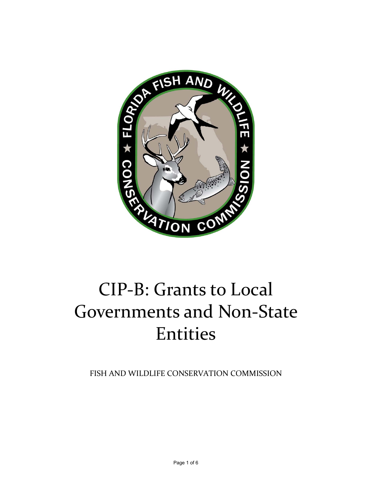

# CIP‐B: Grants to Local Governments and Non‐State Entities

FISH AND WILDLIFE CONSERVATION COMMISSION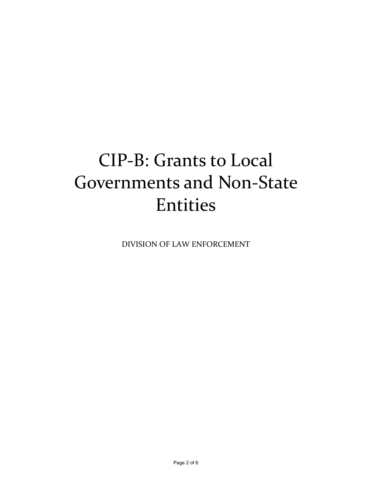## CIP‐B: Grants to Local Governments and Non‐State Entities

DIVISION OF LAW ENFORCEMENT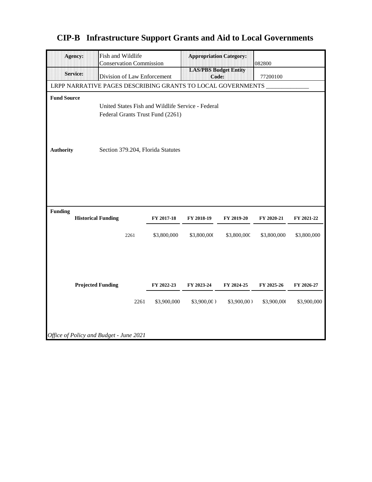| Agency:                                                     |                                                   | Fish and Wildlife<br><b>Conservation Commission</b> |      |                                   | <b>Appropriation Category:</b>        |               | 082800      |             |
|-------------------------------------------------------------|---------------------------------------------------|-----------------------------------------------------|------|-----------------------------------|---------------------------------------|---------------|-------------|-------------|
| <b>Service:</b>                                             |                                                   | Division of Law Enforcement                         |      |                                   | <b>LAS/PBS Budget Entity</b><br>Code: |               | 77200100    |             |
| LRPP NARRATIVE PAGES DESCRIBING GRANTS TO LOCAL GOVERNMENTS |                                                   |                                                     |      |                                   |                                       |               |             |             |
| <b>Fund Source</b>                                          |                                                   |                                                     |      |                                   |                                       |               |             |             |
|                                                             | United States Fish and Wildlife Service - Federal |                                                     |      |                                   |                                       |               |             |             |
| Federal Grants Trust Fund (2261)                            |                                                   |                                                     |      |                                   |                                       |               |             |             |
|                                                             |                                                   |                                                     |      |                                   |                                       |               |             |             |
|                                                             |                                                   |                                                     |      |                                   |                                       |               |             |             |
| <b>Authority</b>                                            |                                                   |                                                     |      | Section 379.204, Florida Statutes |                                       |               |             |             |
|                                                             |                                                   |                                                     |      |                                   |                                       |               |             |             |
|                                                             |                                                   |                                                     |      |                                   |                                       |               |             |             |
|                                                             |                                                   |                                                     |      |                                   |                                       |               |             |             |
|                                                             |                                                   |                                                     |      |                                   |                                       |               |             |             |
|                                                             |                                                   |                                                     |      |                                   |                                       |               |             |             |
| <b>Funding</b>                                              |                                                   |                                                     |      |                                   |                                       |               |             |             |
|                                                             |                                                   | <b>Historical Funding</b>                           |      | FY 2017-18                        | FY 2018-19                            | FY 2019-20    | FY 2020-21  | FY 2021-22  |
|                                                             |                                                   |                                                     | 2261 | \$3,800,000                       | \$3,800,000                           | \$3,800,000   | \$3,800,000 | \$3,800,000 |
|                                                             |                                                   |                                                     |      |                                   |                                       |               |             |             |
|                                                             |                                                   |                                                     |      |                                   |                                       |               |             |             |
|                                                             |                                                   |                                                     |      |                                   |                                       |               |             |             |
|                                                             |                                                   |                                                     |      |                                   |                                       |               |             |             |
|                                                             |                                                   | <b>Projected Funding</b>                            |      | FY 2022-23                        | FY 2023-24                            | FY 2024-25    | FY 2025-26  | FY 2026-27  |
|                                                             |                                                   |                                                     | 2261 | \$3,900,000                       | $$3,900,00$ )                         | $$3,900,00$ ) | \$3,900,000 | \$3,900,000 |
|                                                             |                                                   |                                                     |      |                                   |                                       |               |             |             |
|                                                             |                                                   |                                                     |      |                                   |                                       |               |             |             |
|                                                             |                                                   |                                                     |      |                                   |                                       |               |             |             |
| Office of Policy and Budget - June 2021                     |                                                   |                                                     |      |                                   |                                       |               |             |             |

#### **CIP-B Infrastructure Support Grants and Aid to Local Governments**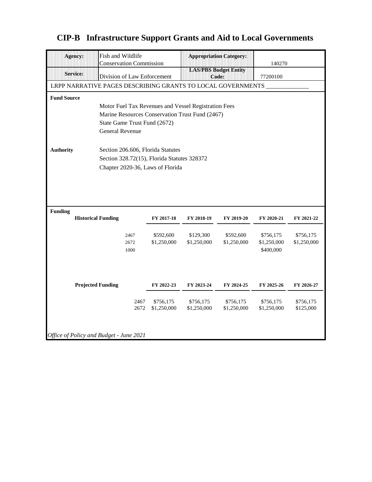|                                                             | <b>Agency:</b>                              | Fish and Wildlife<br><b>Conservation Commission</b> |      |             | <b>Appropriation Category:</b>        |             | 140270      |             |  |  |  |
|-------------------------------------------------------------|---------------------------------------------|-----------------------------------------------------|------|-------------|---------------------------------------|-------------|-------------|-------------|--|--|--|
|                                                             | <b>Service:</b>                             | Division of Law Enforcement                         |      |             | <b>LAS/PBS Budget Entity</b><br>Code: |             | 77200100    |             |  |  |  |
| LRPP NARRATIVE PAGES DESCRIBING GRANTS TO LOCAL GOVERNMENTS |                                             |                                                     |      |             |                                       |             |             |             |  |  |  |
| <b>Fund Source</b>                                          |                                             |                                                     |      |             |                                       |             |             |             |  |  |  |
| Motor Fuel Tax Revenues and Vessel Registration Fees        |                                             |                                                     |      |             |                                       |             |             |             |  |  |  |
| Marine Resources Conservation Trust Fund (2467)             |                                             |                                                     |      |             |                                       |             |             |             |  |  |  |
|                                                             |                                             | State Game Trust Fund (2672)                        |      |             |                                       |             |             |             |  |  |  |
|                                                             |                                             | <b>General Revenue</b>                              |      |             |                                       |             |             |             |  |  |  |
|                                                             |                                             |                                                     |      |             |                                       |             |             |             |  |  |  |
| <b>Authority</b>                                            |                                             | Section 206.606, Florida Statutes                   |      |             |                                       |             |             |             |  |  |  |
|                                                             | Section 328.72(15), Florida Statutes 328372 |                                                     |      |             |                                       |             |             |             |  |  |  |
|                                                             | Chapter 2020-36, Laws of Florida            |                                                     |      |             |                                       |             |             |             |  |  |  |
|                                                             |                                             |                                                     |      |             |                                       |             |             |             |  |  |  |
|                                                             |                                             |                                                     |      |             |                                       |             |             |             |  |  |  |
|                                                             |                                             |                                                     |      |             |                                       |             |             |             |  |  |  |
| <b>Funding</b>                                              |                                             |                                                     |      |             |                                       |             |             |             |  |  |  |
|                                                             | <b>Historical Funding</b>                   |                                                     |      | FY 2017-18  | FY 2018-19                            | FY 2019-20  | FY 2020-21  | FY 2021-22  |  |  |  |
|                                                             |                                             |                                                     | 2467 | \$592,600   | \$129,300                             | \$592,600   | \$756,175   | \$756,175   |  |  |  |
|                                                             |                                             |                                                     | 2672 | \$1,250,000 | \$1,250,000                           | \$1,250,000 | \$1,250,000 | \$1,250,000 |  |  |  |
|                                                             |                                             |                                                     | 1000 |             |                                       |             | \$400,000   |             |  |  |  |
|                                                             |                                             |                                                     |      |             |                                       |             |             |             |  |  |  |
|                                                             |                                             |                                                     |      |             |                                       |             |             |             |  |  |  |
|                                                             |                                             |                                                     |      |             |                                       |             |             |             |  |  |  |
|                                                             | <b>Projected Funding</b>                    |                                                     |      | FY 2022-23  | FY 2023-24                            | FY 2024-25  | FY 2025-26  | FY 2026-27  |  |  |  |
|                                                             |                                             |                                                     | 2467 | \$756,175   | \$756,175                             | \$756,175   | \$756,175   | \$756,175   |  |  |  |
|                                                             |                                             |                                                     | 2672 | \$1,250,000 | \$1,250,000                           | \$1,250,000 | \$1,250,000 | \$125,000   |  |  |  |
|                                                             |                                             |                                                     |      |             |                                       |             |             |             |  |  |  |
|                                                             |                                             |                                                     |      |             |                                       |             |             |             |  |  |  |
| Office of Policy and Budget - June 2021                     |                                             |                                                     |      |             |                                       |             |             |             |  |  |  |

#### **CIP-B Infrastructure Support Grants and Aid to Local Governments**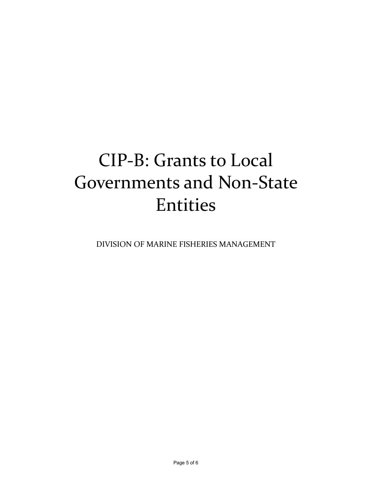## CIP‐B: Grants to Local Governments and Non‐State Entities

DIVISION OF MARINE FISHERIES MANAGEMENT